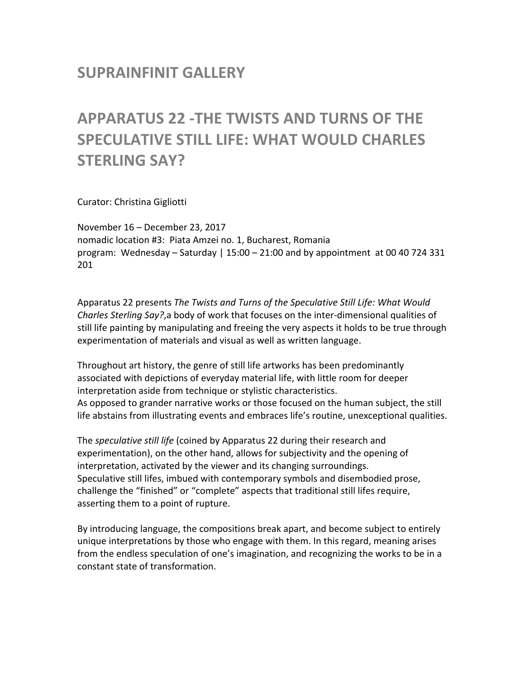# **SUPRAINFINIT GALLERY**

# **APPARATUS 22 -THE TWISTS AND TURNS OF THE SPECULATIVE STILL LIFE: WHAT WOULD CHARLES STERLING SAY?**

Curator: Christina Gigliotti

November 16 - December 23, 2017 nomadic location #3: Piata Amzei no. 1, Bucharest, Romania program: Wednesday – Saturday | 15:00 – 21:00 and by appointment at 00 40 724 331 201

Apparatus 22 presents *The Twists and Turns of the Speculative Still Life: What Would Charles Sterling Say?*,a body of work that focuses on the inter-dimensional qualities of still life painting by manipulating and freeing the very aspects it holds to be true through experimentation of materials and visual as well as written language.

Throughout art history, the genre of still life artworks has been predominantly associated with depictions of everyday material life, with little room for deeper interpretation aside from technique or stylistic characteristics. As opposed to grander narrative works or those focused on the human subject, the still life abstains from illustrating events and embraces life's routine, unexceptional qualities.

The *speculative still life* (coined by Apparatus 22 during their research and experimentation), on the other hand, allows for subjectivity and the opening of interpretation, activated by the viewer and its changing surroundings. Speculative still lifes, imbued with contemporary symbols and disembodied prose, challenge the "finished" or "complete" aspects that traditional still lifes require, asserting them to a point of rupture.

By introducing language, the compositions break apart, and become subject to entirely unique interpretations by those who engage with them. In this regard, meaning arises from the endless speculation of one's imagination, and recognizing the works to be in a constant state of transformation.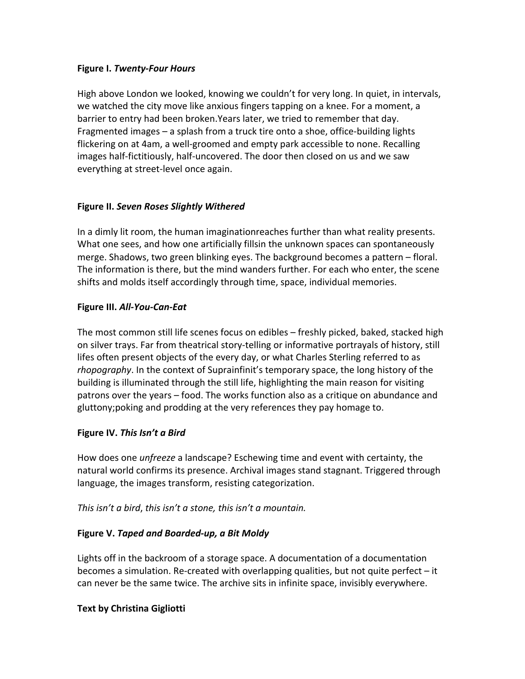### **Figure I.** *Twenty-Four Hours*

High above London we looked, knowing we couldn't for very long. In quiet, in intervals, we watched the city move like anxious fingers tapping on a knee. For a moment, a barrier to entry had been broken. Years later, we tried to remember that day. Fragmented images – a splash from a truck tire onto a shoe, office-building lights flickering on at 4am, a well-groomed and empty park accessible to none. Recalling images half-fictitiously, half-uncovered. The door then closed on us and we saw everything at street-level once again.

#### **Figure II.** *Seven Roses Slightly Withered*

In a dimly lit room, the human imaginationreaches further than what reality presents. What one sees, and how one artificially fillsin the unknown spaces can spontaneously merge. Shadows, two green blinking eyes. The background becomes a pattern  $-$  floral. The information is there, but the mind wanders further. For each who enter, the scene shifts and molds itself accordingly through time, space, individual memories.

#### **Figure III.** *All-You-Can-Eat*

The most common still life scenes focus on edibles – freshly picked, baked, stacked high on silver trays. Far from theatrical story-telling or informative portrayals of history, still lifes often present objects of the every day, or what Charles Sterling referred to as *rhopography*. In the context of Suprainfinit's temporary space, the long history of the building is illuminated through the still life, highlighting the main reason for visiting patrons over the years – food. The works function also as a critique on abundance and gluttony; poking and prodding at the very references they pay homage to.

# **Figure IV. This Isn't a Bird**

How does one *unfreeze* a landscape? Eschewing time and event with certainty, the natural world confirms its presence. Archival images stand stagnant. Triggered through language, the images transform, resisting categorization.

#### *This* isn't a bird, this isn't a stone, this isn't a mountain.

# Figure V. Taped and Boarded-up, a Bit Moldy

Lights off in the backroom of a storage space. A documentation of a documentation becomes a simulation. Re-created with overlapping qualities, but not quite perfect  $-$  it can never be the same twice. The archive sits in infinite space, invisibly everywhere.

# **Text by Christina Gigliotti**